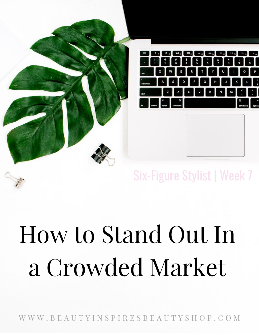

#### Six-Figure Stylist | Week 7

# How to Stand Out In a Crowded Market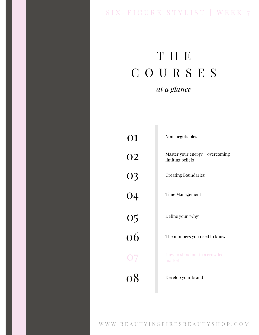#### SIX - FIGURE STYLIST | WEEK 7

## T H E C O U R S E S *at a glance*

| 01              | Non-negotiables                                     |
|-----------------|-----------------------------------------------------|
| <b>O2</b>       | Master your energy + overcoming<br>limiting beliefs |
|                 | <b>Creating Boundaries</b>                          |
| 03<br>04        | <b>Time Management</b>                              |
|                 | Define your "why"                                   |
| $\frac{05}{06}$ | The numbers you need to know                        |
| 07              | How to stand out in a crowded<br>market             |
| 0 <sup>8</sup>  | Develop your brand                                  |
|                 |                                                     |
|                 |                                                     |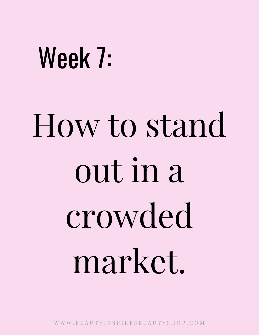# Week 7:

# How to stand out in a crowded market.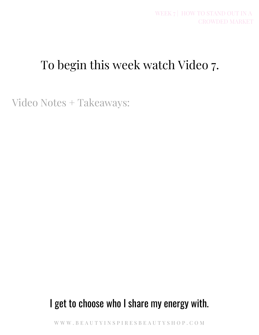## To begin this week watch Video 7.

Video Notes + Takeaways:

#### I get to choose who I share my energy with.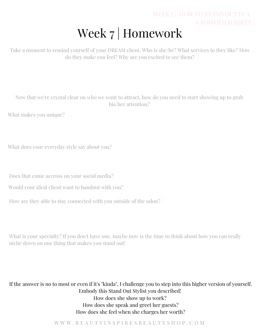#### Week 7 | Homework WEEK 7 | HOW TO STAND OUT IN A CROWDED MARKET

Take a moment to remind yourself of your DREAM client. Who is she/he? What services to they like? How do they make you feel? Why are you excited to see them?

Now that we're crystal clear on who we want to attract, how do you need to start showing up to grab his/her attention?

What makes you unique?

What does your everyday style say about you?

Does that come accross on your social media?

Would your ideal client want to handout with you?

How are they able to stay connected with you outside of the salon?

What is your specialty? If you don't have one, maybe now is the time to think about how you can really niche down on one thing that makes you stand out!

If the answer is no to most or even if it's "kinda", I challenge you to step into this higher version of yourself. Embody this Stand Out Stylist you described! How does she show up to work? How does she speak and greet her guests? How does she feel when she charges her worth?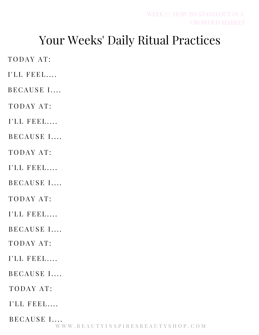### Your Weeks' Daily Ritual Practices

TODAY AT:

I'LL FEEL....

BECAUSE I....

TODAY AT:

I'LL FEEL....

BECAUSE I....

TODAY AT:

I'LL FEEL....

BECAUSE I....

TODAY AT:

 $I'LL$  FEEL....

BECAUSE I....

TODAY AT:

 $I'LL$  FEEL....

BECAUSE I....

TODAY AT:

I'LL FEEL....

BECAUSE I....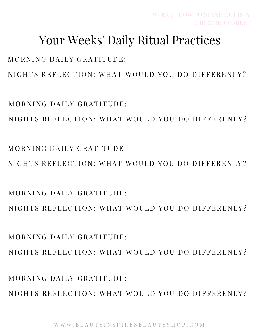#### Your Weeks' Daily Ritual Practices

MORNING DAILY GRATITUDE:

NIGHTS REFLECTION: WHAT WOULD YOU DO DIFFERENLY?

MORNING DAILY GRATITUDE:

NIGHTS REFLECTION: WHAT WOULD YOU DO DIFFERENLY?

 $MORNING$  DAILY GRATITUDE.

NIGHTS REFLECTION: WHAT WOULD YOU DO DIFFERENLY?

MORNING DAILY GRATITUDE:

NIGHTS REFLECTION: WHAT WOULD YOU DO DIFFERENLY?

 $MORNING$  DAILY GRATITUDE.

NIGHTS REFLECTION: WHAT WOULD YOU DO DIFFERENLY?

MORNING DAILY GRATITUDE:

NIGHTS REFLECTION: WHAT WOULD YOU DO DIFFERENLY?